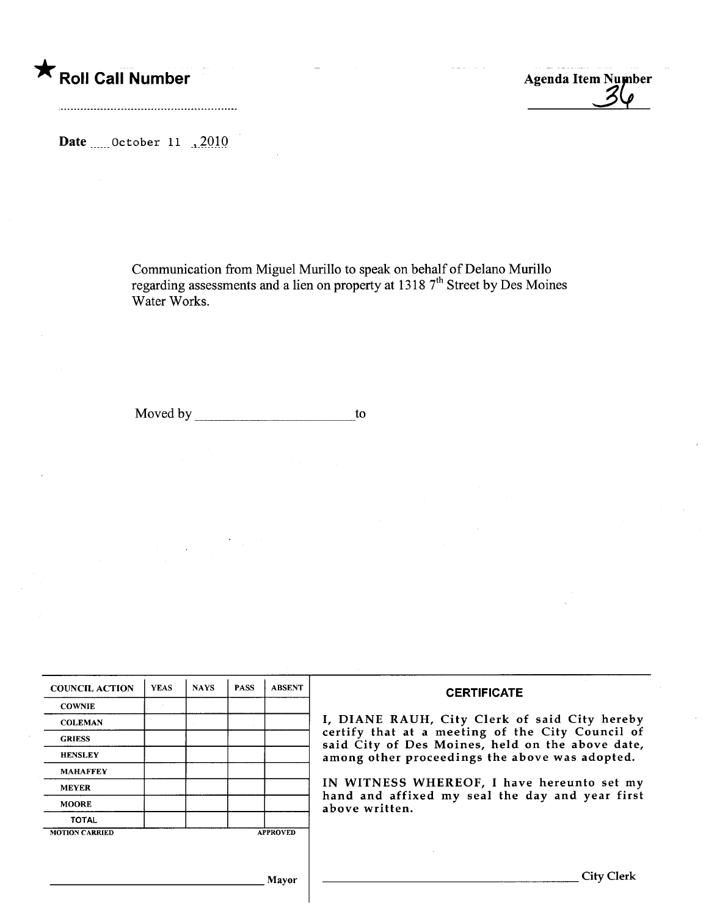\* Roll Call Number **Agents** Agenda Item Number

Date  $\ldots$  October 11 .2010

Communication from Miguel Murllo to speak on behalf of Delano Murillo regarding assessments and a lien on property at 1318 7 street by Des Moines Water Works.

Moved by to to the state of the state of the state of the state of the state of the state of the state of the state of the state of the state of the state of the state of the state of the state of the state of the state of

| <b>COUNCIL ACTION</b> | <b>YEAS</b> | <b>NAYS</b> | <b>PASS</b> | <b>ABSENT</b>   | <b>CERTIFICATE</b>                                                                                                                                                                                      |  |  |
|-----------------------|-------------|-------------|-------------|-----------------|---------------------------------------------------------------------------------------------------------------------------------------------------------------------------------------------------------|--|--|
| <b>COWNIE</b>         |             |             |             |                 |                                                                                                                                                                                                         |  |  |
| <b>COLEMAN</b>        |             |             |             |                 | I, DIANE RAUH, City Clerk of said City hereby<br>certify that at a meeting of the City Council of<br>said City of Des Moines, held on the above date,<br>among other proceedings the above was adopted. |  |  |
| <b>GRIESS</b>         |             |             |             |                 |                                                                                                                                                                                                         |  |  |
| <b>HENSLEY</b>        |             |             |             |                 |                                                                                                                                                                                                         |  |  |
| <b>MAHAFFEY</b>       |             |             |             |                 |                                                                                                                                                                                                         |  |  |
| <b>MEYER</b>          |             |             |             |                 | IN WITNESS WHEREOF, I have hereunto set my<br>hand and affixed my seal the day and year first<br>above written.                                                                                         |  |  |
| <b>MOORE</b>          |             |             |             |                 |                                                                                                                                                                                                         |  |  |
| <b>TOTAL</b>          |             |             |             |                 |                                                                                                                                                                                                         |  |  |
| <b>MOTION CARRIED</b> |             |             |             | <b>APPROVED</b> |                                                                                                                                                                                                         |  |  |
|                       |             |             |             |                 |                                                                                                                                                                                                         |  |  |
|                       |             |             |             |                 |                                                                                                                                                                                                         |  |  |
| Mavor                 |             |             |             |                 | <b>City Clerk</b>                                                                                                                                                                                       |  |  |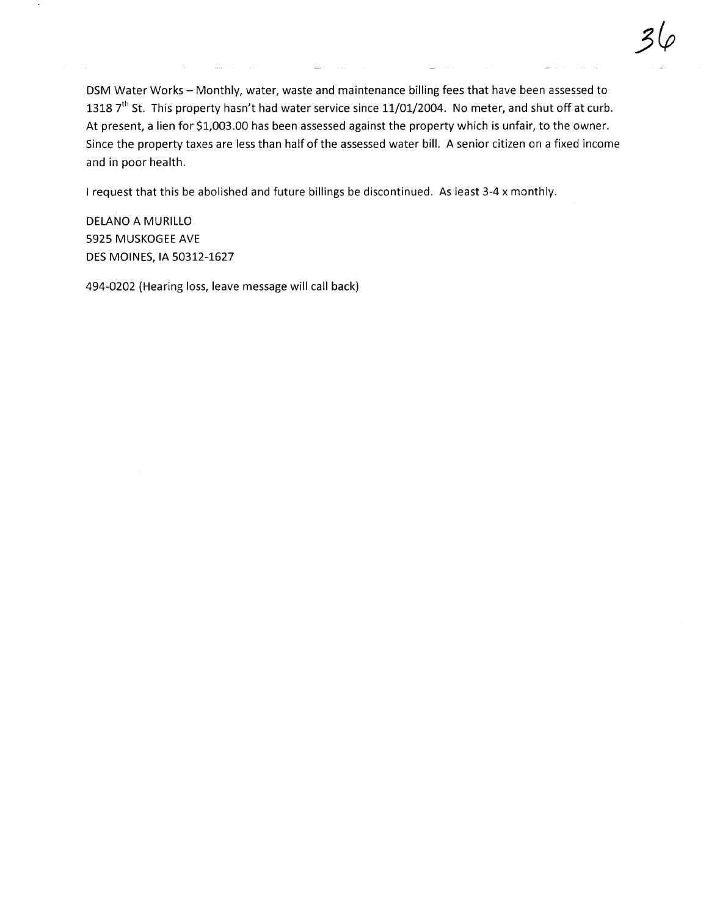DSM Water Works - Monthly, water, waste and maintenance billing fees that have been assessed to 1318 7<sup>th</sup> St. This property hasn't had water service since 11/01/2004. No meter, and shut off at curb. At present, a lien for \$1,003.00 has been assessed against the property which is unfair, to the owner. Since the property taxes are less than half of the assessed water bill. A senior citizen on a fixed income and in poor health.

I request that this be abolished and future billings be discontinued. As least 3-4 x monthly.

DELANO A MURILLO 5925 MUSKOGEE AVE DES MOINES, IA 50312-1627

494-0202 (Hearing loss, leave message will call back)